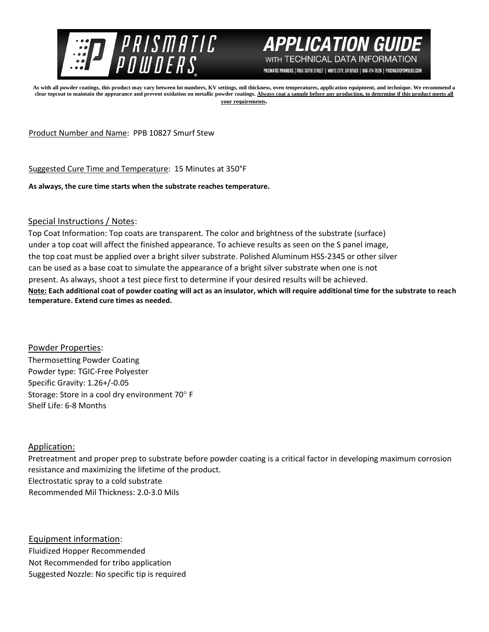



PRISMATIC POWDERS. | 7050 SIXTH STREET | WHITE CITY, OR 97503 | 866-774-7628 | PRISMATICPOWDERS.COM

**As with all powder coatings, this product may vary between lot numbers, KV settings, mil thickness, oven temperatures, application equipment, and technique. We recommend a clear topcoat to maintain the appearance and prevent oxidation on metallic powder coatings. Always coat a sample before any production, to determine if this product meets all your requirements.** 

Product Number and Name: PPB 10827 Smurf Stew

Suggested Cure Time and Temperature: 15 Minutes at 350°F

**As always, the cure time starts when the substrate reaches temperature.**

## Special Instructions / Notes:

Top Coat Information: Top coats are transparent. The color and brightness of the substrate (surface) under a top coat will affect the finished appearance. To achieve results as seen on the S panel image, the top coat must be applied over a bright silver substrate. Polished Aluminum HSS-2345 or other silver can be used as a base coat to simulate the appearance of a bright silver substrate when one is not present. As always, shoot a test piece first to determine if your desired results will be achieved. **Note: Each additional coat of powder coating will act as an insulator, which will require additional time for the substrate to reach temperature. Extend cure times as needed.** 

Powder Properties: Thermosetting Powder Coating Powder type: TGIC-Free Polyester Specific Gravity: 1.26+/-0.05 Storage: Store in a cool dry environment 70° F Shelf Life: 6-8 Months

## Application:

Pretreatment and proper prep to substrate before powder coating is a critical factor in developing maximum corrosion resistance and maximizing the lifetime of the product. Electrostatic spray to a cold substrate Recommended Mil Thickness: 2.0-3.0 Mils

Equipment information: Fluidized Hopper Recommended Not Recommended for tribo application Suggested Nozzle: No specific tip is required